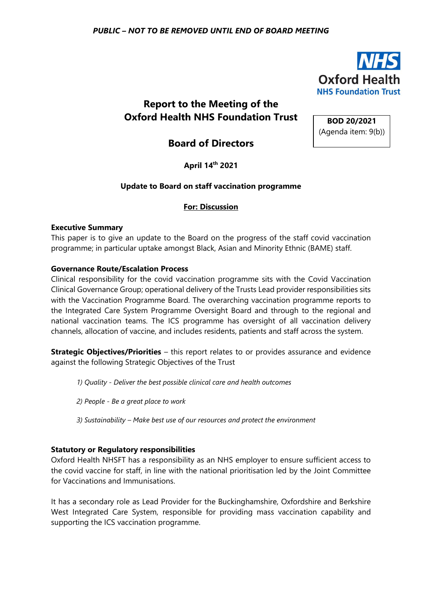

# **Report to the Meeting of the Oxford Health NHS Foundation Trust**

**BOD 20/2021** (Agenda item: 9(b))

# **Board of Directors**

**April 14th 2021**

# **Update to Board on staff vaccination programme**

# **For: Discussion**

#### **Executive Summary**

This paper is to give an update to the Board on the progress of the staff covid vaccination programme; in particular uptake amongst Black, Asian and Minority Ethnic (BAME) staff.

### **Governance Route/Escalation Process**

Clinical responsibility for the covid vaccination programme sits with the Covid Vaccination Clinical Governance Group; operational delivery of the Trusts Lead provider responsibilities sits with the Vaccination Programme Board. The overarching vaccination programme reports to the Integrated Care System Programme Oversight Board and through to the regional and national vaccination teams. The ICS programme has oversight of all vaccination delivery channels, allocation of vaccine, and includes residents, patients and staff across the system.

**Strategic Objectives/Priorities** – this report relates to or provides assurance and evidence against the following Strategic Objectives of the Trust

*1) Quality - Deliver the best possible clinical care and health outcomes*

- *2) People - Be a great place to work*
- *3) Sustainability – Make best use of our resources and protect the environment*

# **Statutory or Regulatory responsibilities**

Oxford Health NHSFT has a responsibility as an NHS employer to ensure sufficient access to the covid vaccine for staff, in line with the national prioritisation led by the Joint Committee for Vaccinations and Immunisations.

It has a secondary role as Lead Provider for the Buckinghamshire, Oxfordshire and Berkshire West Integrated Care System, responsible for providing mass vaccination capability and supporting the ICS vaccination programme.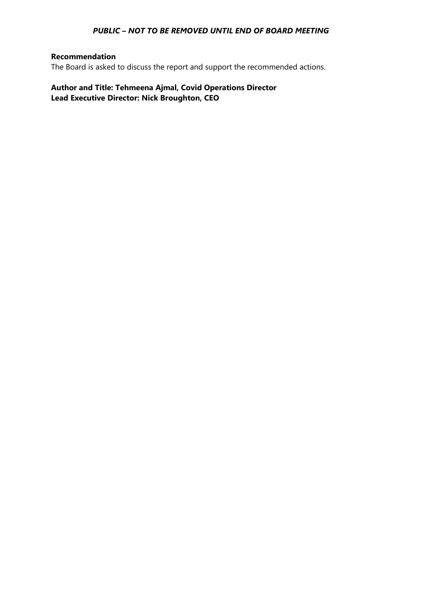## **Recommendation**

The Board is asked to discuss the report and support the recommended actions.

**Author and Title: Tehmeena Ajmal, Covid Operations Director Lead Executive Director: Nick Broughton, CEO**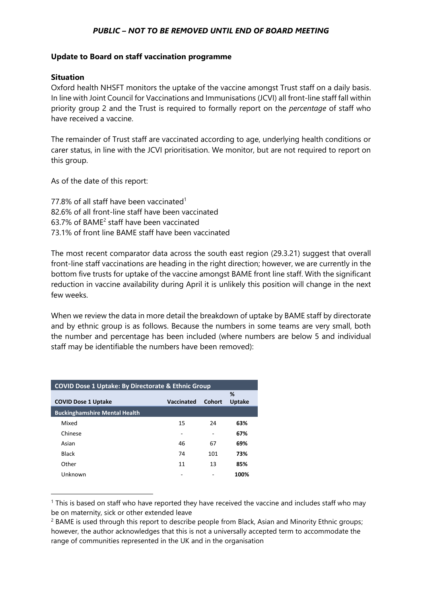#### **Update to Board on staff vaccination programme**

#### **Situation**

Oxford health NHSFT monitors the uptake of the vaccine amongst Trust staff on a daily basis. In line with Joint Council for Vaccinations and Immunisations (JCVI) all front-line staff fall within priority group 2 and the Trust is required to formally report on the *percentage* of staff who have received a vaccine.

The remainder of Trust staff are vaccinated according to age, underlying health conditions or carer status, in line with the JCVI prioritisation. We monitor, but are not required to report on this group.

As of the date of this report:

77.8% of all staff have been vaccinated<sup>1</sup> 82.6% of all front-line staff have been vaccinated 63.7% of BAME<sup>2</sup> staff have been vaccinated 73.1% of front line BAME staff have been vaccinated

The most recent comparator data across the south east region (29.3.21) suggest that overall front-line staff vaccinations are heading in the right direction; however, we are currently in the bottom five trusts for uptake of the vaccine amongst BAME front line staff. With the significant reduction in vaccine availability during April it is unlikely this position will change in the next few weeks.

When we review the data in more detail the breakdown of uptake by BAME staff by directorate and by ethnic group is as follows. Because the numbers in some teams are very small, both the number and percentage has been included (where numbers are below 5 and individual staff may be identifiable the numbers have been removed):

| <b>COVID Dose 1 Uptake: By Directorate &amp; Ethnic Group</b> |            |               |               |  |
|---------------------------------------------------------------|------------|---------------|---------------|--|
|                                                               |            |               | %             |  |
| <b>COVID Dose 1 Uptake</b>                                    | Vaccinated | <b>Cohort</b> | <b>Uptake</b> |  |
| <b>Buckinghamshire Mental Health</b>                          |            |               |               |  |
| Mixed                                                         | 15         | 24            | 63%           |  |
| Chinese                                                       |            | ٠             | 67%           |  |
| Asian                                                         | 46         | 67            | 69%           |  |
| <b>Black</b>                                                  | 74         | 101           | 73%           |  |
| Other                                                         | 11         | 13            | 85%           |  |
| Unknown                                                       |            |               | 100%          |  |

 $1$  This is based on staff who have reported they have received the vaccine and includes staff who may be on maternity, sick or other extended leave

<sup>&</sup>lt;sup>2</sup> BAME is used through this report to describe people from Black, Asian and Minority Ethnic groups; however, the author acknowledges that this is not a universally accepted term to accommodate the range of communities represented in the UK and in the organisation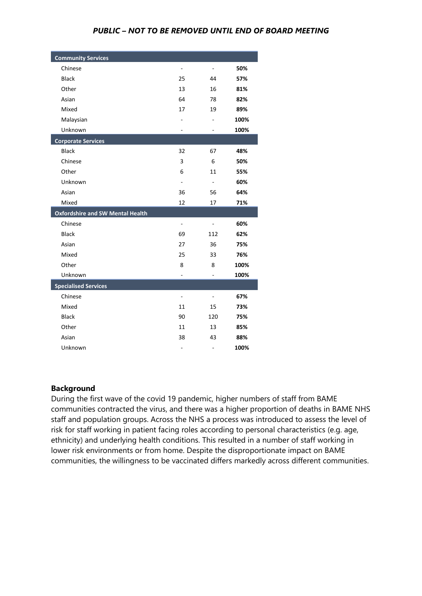| <b>Community Services</b>               |                          |                          |      |
|-----------------------------------------|--------------------------|--------------------------|------|
| Chinese                                 | $\overline{\phantom{a}}$ | $\overline{\phantom{a}}$ | 50%  |
| <b>Black</b>                            | 25                       | 44                       | 57%  |
| Other                                   | 13                       | 16                       | 81%  |
| Asian                                   | 64                       | 78                       | 82%  |
| Mixed                                   | 17                       | 19                       | 89%  |
| Malaysian                               |                          |                          | 100% |
| Unknown                                 | $\blacksquare$           | $\overline{\phantom{a}}$ | 100% |
| <b>Corporate Services</b>               |                          |                          |      |
| <b>Black</b>                            | 32                       | 67                       | 48%  |
| Chinese                                 | 3                        | 6                        | 50%  |
| Other                                   | 6                        | 11                       | 55%  |
| Unknown                                 | ÷,                       | $\overline{\phantom{a}}$ | 60%  |
| Asian                                   | 36                       | 56                       | 64%  |
| Mixed                                   | 12                       | 17                       | 71%  |
| <b>Oxfordshire and SW Mental Health</b> |                          |                          |      |
| Chinese                                 | $\overline{\phantom{a}}$ |                          | 60%  |
| <b>Black</b>                            | 69                       | 112                      | 62%  |
| Asian                                   | 27                       | 36                       | 75%  |
| Mixed                                   | 25                       | 33                       | 76%  |
| Other                                   | 8                        | 8                        | 100% |
| Unknown                                 |                          |                          | 100% |
| <b>Specialised Services</b>             |                          |                          |      |
| Chinese                                 | ÷,                       |                          | 67%  |
| Mixed                                   | 11                       | 15                       | 73%  |
| <b>Black</b>                            | 90                       | 120                      | 75%  |
| Other                                   | 11                       | 13                       | 85%  |
| Asian                                   | 38                       | 43                       | 88%  |
| Unknown                                 | $\overline{\phantom{0}}$ | -                        | 100% |

#### **Background**

During the first wave of the covid 19 pandemic, higher numbers of staff from BAME communities contracted the virus, and there was a higher proportion of deaths in BAME NHS staff and population groups. Across the NHS a process was introduced to assess the level of risk for staff working in patient facing roles according to personal characteristics (e.g. age, ethnicity) and underlying health conditions. This resulted in a number of staff working in lower risk environments or from home. Despite the disproportionate impact on BAME communities, the willingness to be vaccinated differs markedly across different communities.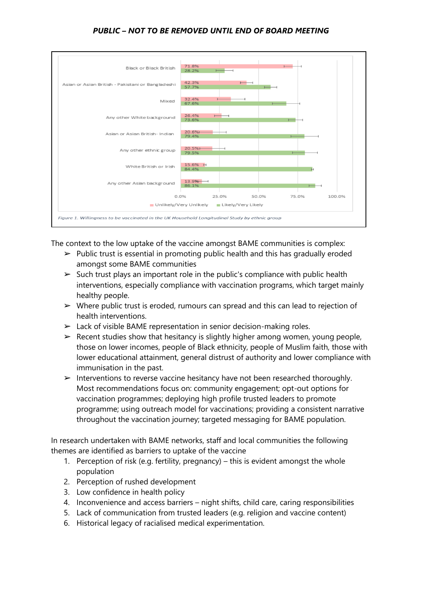

The context to the low uptake of the vaccine amongst BAME communities is complex:

- $\triangleright$  Public trust is essential in promoting public health and this has gradually eroded amongst some BAME communities
- $\triangleright$  Such trust plays an important role in the public's compliance with public health interventions, especially compliance with vaccination programs, which target mainly healthy people.
- $\triangleright$  Where public trust is eroded, rumours can spread and this can lead to rejection of health interventions.
- $\triangleright$  Lack of visible BAME representation in senior decision-making roles.
- $\triangleright$  Recent studies show that hesitancy is slightly higher among women, young people, those on lower incomes, people of Black ethnicity, people of Muslim faith, those with lower educational attainment, general distrust of authority and lower compliance with immunisation in the past.
- $\triangleright$  Interventions to reverse vaccine hesitancy have not been researched thoroughly. Most recommendations focus on: community engagement; opt-out options for vaccination programmes; deploying high profile trusted leaders to promote programme; using outreach model for vaccinations; providing a consistent narrative throughout the vaccination journey; targeted messaging for BAME population.

In research undertaken with BAME networks, staff and local communities the following themes are identified as barriers to uptake of the vaccine

- 1. Perception of risk (e.g. fertility, pregnancy) this is evident amongst the whole population
- 2. Perception of rushed development
- 3. Low confidence in health policy
- 4. Inconvenience and access barriers night shifts, child care, caring responsibilities
- 5. Lack of communication from trusted leaders (e.g. religion and vaccine content)
- 6. Historical legacy of racialised medical experimentation.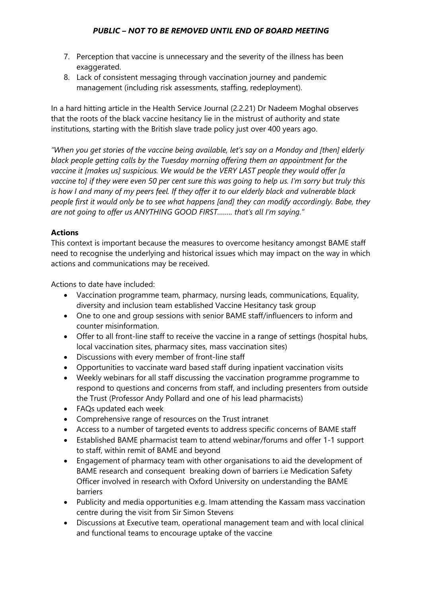- 7. Perception that vaccine is unnecessary and the severity of the illness has been exaggerated.
- 8. Lack of consistent messaging through vaccination journey and pandemic management (including risk assessments, staffing, redeployment).

In a hard hitting article in the Health Service Journal (2.2.21) Dr Nadeem Moghal observes that the roots of the black vaccine hesitancy lie in the mistrust of authority and state institutions, starting with the British slave trade policy just over 400 years ago.

*"When you get stories of the vaccine being available, let's say on a Monday and [then] elderly black people getting calls by the Tuesday morning offering them an appointment for the vaccine it [makes us] suspicious. We would be the VERY LAST people they would offer [a vaccine to] if they were even 50 per cent sure this was going to help us. I'm sorry but truly this is how I and many of my peers feel. If they offer it to our elderly black and vulnerable black people first it would only be to see what happens [and] they can modify accordingly. Babe, they are not going to offer us ANYTHING GOOD FIRST…….. that's all I'm saying."*

# **Actions**

This context is important because the measures to overcome hesitancy amongst BAME staff need to recognise the underlying and historical issues which may impact on the way in which actions and communications may be received.

Actions to date have included:

- Vaccination programme team, pharmacy, nursing leads, communications, Equality, diversity and inclusion team established Vaccine Hesitancy task group
- One to one and group sessions with senior BAME staff/influencers to inform and counter misinformation.
- Offer to all front-line staff to receive the vaccine in a range of settings (hospital hubs, local vaccination sites, pharmacy sites, mass vaccination sites)
- Discussions with every member of front-line staff
- Opportunities to vaccinate ward based staff during inpatient vaccination visits
- Weekly webinars for all staff discussing the vaccination programme programme to respond to questions and concerns from staff, and including presenters from outside the Trust (Professor Andy Pollard and one of his lead pharmacists)
- FAQs updated each week
- Comprehensive range of resources on the Trust intranet
- Access to a number of targeted events to address specific concerns of BAME staff
- Established BAME pharmacist team to attend webinar/forums and offer 1-1 support to staff, within remit of BAME and beyond
- Engagement of pharmacy team with other organisations to aid the development of BAME research and consequent breaking down of barriers i.e Medication Safety Officer involved in research with Oxford University on understanding the BAME barriers
- Publicity and media opportunities e.g. Imam attending the Kassam mass vaccination centre during the visit from Sir Simon Stevens
- Discussions at Executive team, operational management team and with local clinical and functional teams to encourage uptake of the vaccine